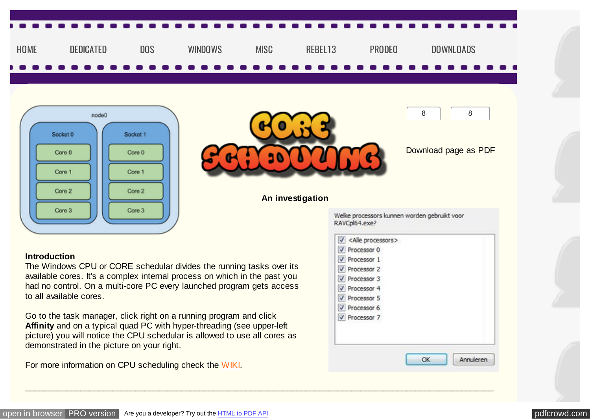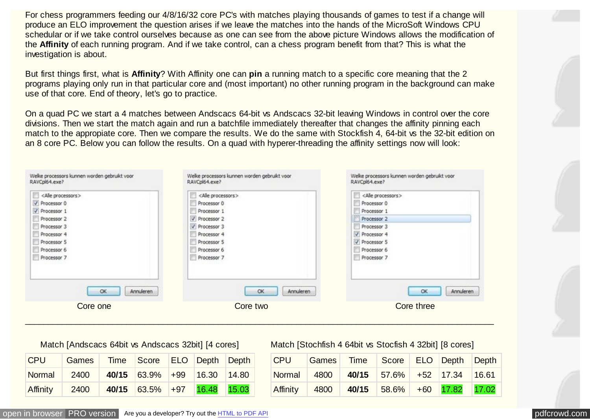For chess programmers feeding our 4/8/16/32 core PC's with matches playing thousands of games to test if a change will produce an ELO improvement the question arises if we leave the matches into the hands of the MicroSoft Windows CPU schedular or if we take control ourselves because as one can see from the above picture Windows allows the modification of the **Affinity** of each running program. And if we take control, can a chess program benefit from that? This is what the investigation is about.

But first things first, what is **Affinity**? With Affinity one can **pin** a running match to a specific core meaning that the 2 programs playing only run in that particular core and (most important) no other running program in the background can make use of that core. End of theory, let's go to practice.

On a quad PC we start a 4 matches between Andscacs 64-bit vs Andscacs 32-bit leaving Windows in control over the core divisions. Then we start the match again and run a batchfile immediately thereafter that changes the affinity pinning each match to the appropiate core. Then we compare the results. We do the same with Stockfish 4, 64-bit vs the 32-bit edition on an 8 core PC. Below you can follow the results. On a quad with hyperer-threading the affinity settings now will look:

| Welke processors kunnen worden gebruikt voor | Welke processors kunnen worden gebruikt voor | Welke processors kunnen worden gebruikt voor |
|----------------------------------------------|----------------------------------------------|----------------------------------------------|
| RAVCpl64.exe?                                | RAVCol64.exe?                                | RAVCpl64.exe?                                |
| <alle processors=""></alle>                  | <alle processors=""></alle>                  | <alle processors=""></alle>                  |
| V Processor 0                                | Processor 0                                  | Processor 0                                  |
| V Processor 1                                | Processor 1                                  | Processor 1                                  |
| Processor 2                                  | V Processor 2                                | Processor 2                                  |
| Processor 3                                  | V Processor 3                                | Processor 3                                  |
| Processor 4                                  | Processor 4                                  | V Processor 4                                |
| Processor S                                  | Processor S                                  | V Processor S                                |
| Processor 6                                  | Processor 6                                  | Processor 6                                  |
| Processor 7                                  | Processor 7                                  | Processor 7                                  |
| Annuleren                                    | Annuleren                                    | Annuleren                                    |
| OK                                           | <b>OK</b>                                    | OK                                           |
| Core one                                     | Core two                                     | Core three                                   |

 $\mathcal{L}_\mathcal{L} = \{ \mathcal{L}_\mathcal{L} = \{ \mathcal{L}_\mathcal{L} = \{ \mathcal{L}_\mathcal{L} = \{ \mathcal{L}_\mathcal{L} = \{ \mathcal{L}_\mathcal{L} = \{ \mathcal{L}_\mathcal{L} = \{ \mathcal{L}_\mathcal{L} = \{ \mathcal{L}_\mathcal{L} = \{ \mathcal{L}_\mathcal{L} = \{ \mathcal{L}_\mathcal{L} = \{ \mathcal{L}_\mathcal{L} = \{ \mathcal{L}_\mathcal{L} = \{ \mathcal{L}_\mathcal{L} = \{ \mathcal{L}_\mathcal{$ 

| Match [Andscacs 64bit vs Andscacs 32bit] [4 cores] |       |  |                            |       |       |                 |  |
|----------------------------------------------------|-------|--|----------------------------|-------|-------|-----------------|--|
| <b>CPU</b>                                         | Games |  | Time Score ELO Depth Depth |       |       |                 |  |
| Normal                                             | 2400  |  | $40/15$ 63.9% +99          |       | 16.30 | $ 14.80\rangle$ |  |
| Affinity                                           | 2400  |  | 40/15 63.5%                | $+97$ | 16.48 | 15.03           |  |

Match [Stochfish 4 64bit vs Stocfish 4 32bit] [8 cores]

| $ $ CPU                                 | Games Time Score ELO Depth Depth |  |  |
|-----------------------------------------|----------------------------------|--|--|
| Normal 4800 40/15 57.6% +52 17.34 16.61 |                                  |  |  |
| Affinity                                | 4800 40/15 58.6% +60 17.82 17.02 |  |  |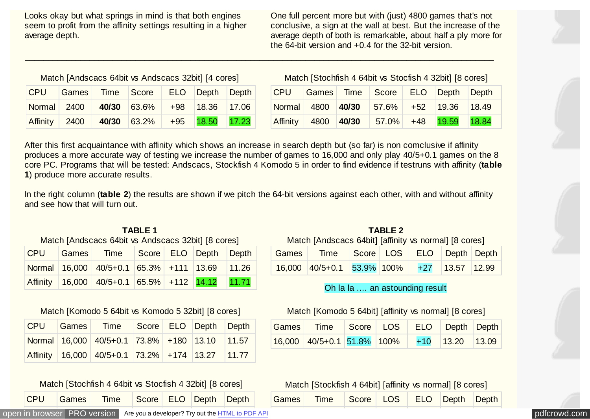Looks okay but what springs in mind is that both engines seem to profit from the affinity settings resulting in a higher average depth.

One full percent more but with (just) 4800 games that's not conclusive, a sign at the wall at best. But the increase of the average depth of both is remarkable, about half a ply more for the 64-bit version and +0.4 for the 32-bit version.

#### Match [Andscacs 64bit vs Andscacs 32bit] [4 cores]

|  | CPU Games Time Score ELO Depth Depth      |  |  |
|--|-------------------------------------------|--|--|
|  | Normal 2400 40/30 63.6% +98 18.36 17.06   |  |  |
|  | Affinity 2400 40/30 63.2% +95 18.50 17.23 |  |  |

Match [Stochfish 4 64bit vs Stocfish 4 32bit] [8 cores]

|  | CPU Games Time Score ELO Depth Depth      |  |  |
|--|-------------------------------------------|--|--|
|  | Normal 4800 40/30 57.6% +52 19.36 18.49   |  |  |
|  | Affinity 4800 40/30 57.0% +48 19.59 18.84 |  |  |

After this first acquaintance with affinity which shows an increase in search depth but (so far) is non comclusive if affinity produces a more accurate way of testing we increase the number of games to 16,000 and only play 40/5+0.1 games on the 8 core PC. Programs that will be tested: Andscacs, Stockfish 4 Komodo 5 in order to find evidence if testruns with affinity (**table 1**) produce more accurate results.

\_\_\_\_\_\_\_\_\_\_\_\_\_\_\_\_\_\_\_\_\_\_\_\_\_\_\_\_\_\_\_\_\_\_\_\_\_\_\_\_\_\_\_\_\_\_\_\_\_\_\_\_\_\_\_\_\_\_\_\_\_\_\_\_\_\_\_\_\_\_\_\_\_\_\_\_\_\_\_\_\_\_\_\_\_\_\_\_\_\_\_\_\_\_\_\_\_\_\_\_\_\_

In the right column (**table 2**) the results are shown if we pitch the 64-bit versions against each other, with and without affinity and see how that will turn out.

#### **TABLE 1** Match [Andscacs 64bit vs Andscacs 32bit] [8 cores]

|  | CPU Games Time Score ELO Depth Depth            |  |  |
|--|-------------------------------------------------|--|--|
|  | Normal 16,000 40/5+0.1 65.3% +111 13.69 11.26   |  |  |
|  | Affinity 16,000 40/5+0.1 65.5% +112 14.12 11.71 |  |  |

#### Match [Komodo 5 64bit vs Komodo 5 32bit] [8 cores]

|  | CPU Games Time Score ELO Depth Depth            |  |  |
|--|-------------------------------------------------|--|--|
|  | Normal 16,000 40/5+0.1 73.8% +180 13.10 11.57   |  |  |
|  | Affinity 16,000 40/5+0.1 73.2% +174 13.27 11.77 |  |  |

#### Match [Stochfish 4 64bit vs Stocfish 4 32bit] [8 cores]

CPU Games Time Score ELO Depth Depth

### **TABLE 2**

Match [Andscacs 64bit] [affinity vs normal] [8 cores]

| Games Time Score LOS ELO Depth Depth       |  |  |  |
|--------------------------------------------|--|--|--|
| 16,000 40/5+0.1 53.9% 100% +27 13.57 12.99 |  |  |  |

#### Oh la la .... an astounding result

#### Match [Komodo 5 64bit] [affinity vs normal] [8 cores]

| Games Time Score LOS ELO Depth Depth         |  |  |  |
|----------------------------------------------|--|--|--|
| $16,000$ 40/5+0.1 51.8% 100% +10 13.20 13.09 |  |  |  |

Match [Stockfish 4 64bit] [affinity vs normal] [8 cores]

| Games Time Score LOS ELO Depth Depth |  |  |  |  |  |  |
|--------------------------------------|--|--|--|--|--|--|
|--------------------------------------|--|--|--|--|--|--|

[open in browser](http://pdfcrowd.com/redirect/?url=http%3a%2f%2frebel13.nl%2fmisc%2fscheduling.html&id=ma-170803142433-c31429ff) [PRO version](http://pdfcrowd.com/customize/) Are you a developer? Try out th[e HTML to PDF API](http://pdfcrowd.com/html-to-pdf-api/?ref=pdf) position and the Area of the Area of the Area of the Area of the Area of the Area of the Area of the Area of the Area of the Area of the Area of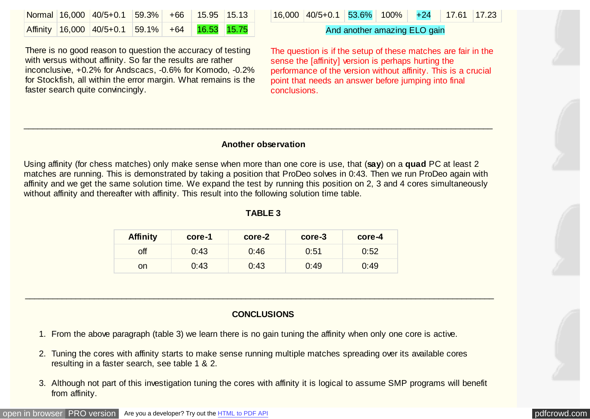|  | Normal 16,000 40/5+0.1 59.3% +66 15.95 15.13   |  |  |
|--|------------------------------------------------|--|--|
|  | Affinity 16,000 40/5+0.1 59.1% +64 16.53 15.75 |  |  |

There is no good reason to question the accuracy of testing with versus without affinity. So far the results are rather inconclusive, +0.2% for Andscacs, -0.6% for Komodo, -0.2% for Stockfish, all within the error margin. What remains is the faster search quite convincingly.

|  |  | $16,000$ $40/5+0.1$ 53.6% 100% +24 17.61 17.23 |  |  |  |  |  |
|--|--|------------------------------------------------|--|--|--|--|--|
|--|--|------------------------------------------------|--|--|--|--|--|

#### And another amazing ELO gain

The question is if the setup of these matches are fair in the sense the [affinity] version is perhaps hurting the performance of the version without affinity. This is a crucial point that needs an answer before jumping into final conclusions.

#### **Another observation**

 $\mathcal{L}_\mathcal{L} = \{ \mathcal{L}_\mathcal{L} = \{ \mathcal{L}_\mathcal{L} = \{ \mathcal{L}_\mathcal{L} = \{ \mathcal{L}_\mathcal{L} = \{ \mathcal{L}_\mathcal{L} = \{ \mathcal{L}_\mathcal{L} = \{ \mathcal{L}_\mathcal{L} = \{ \mathcal{L}_\mathcal{L} = \{ \mathcal{L}_\mathcal{L} = \{ \mathcal{L}_\mathcal{L} = \{ \mathcal{L}_\mathcal{L} = \{ \mathcal{L}_\mathcal{L} = \{ \mathcal{L}_\mathcal{L} = \{ \mathcal{L}_\mathcal{$ 

Using affinity (for chess matches) only make sense when more than one core is use, that (**say**) on a **quad** PC at least 2 matches are running. This is demonstrated by taking a position that ProDeo solves in 0:43. Then we run ProDeo again with affinity and we get the same solution time. We expand the test by running this position on 2, 3 and 4 cores simultaneously without affinity and thereafter with affinity. This result into the following solution time table.

#### **TABLE 3**

| <b>Affinity</b> | core-1 | core-2 | core-3 | core-4 |
|-----------------|--------|--------|--------|--------|
| off             | 0:43   | 0:46   | 0:51   | 0:52   |
| on              | 0:43   | 0:43   | 0:49   | 0:49   |

#### **CONCLUSIONS**

 $\mathcal{L}_\mathcal{L} = \{ \mathcal{L}_\mathcal{L} = \{ \mathcal{L}_\mathcal{L} = \{ \mathcal{L}_\mathcal{L} = \{ \mathcal{L}_\mathcal{L} = \{ \mathcal{L}_\mathcal{L} = \{ \mathcal{L}_\mathcal{L} = \{ \mathcal{L}_\mathcal{L} = \{ \mathcal{L}_\mathcal{L} = \{ \mathcal{L}_\mathcal{L} = \{ \mathcal{L}_\mathcal{L} = \{ \mathcal{L}_\mathcal{L} = \{ \mathcal{L}_\mathcal{L} = \{ \mathcal{L}_\mathcal{L} = \{ \mathcal{L}_\mathcal{$ 

- 1. From the above paragraph (table 3) we learn there is no gain tuning the affinity when only one core is active.
- 2. Tuning the cores with affinity starts to make sense running multiple matches spreading over its available cores resulting in a faster search, see table 1 & 2.
- 3. Although not part of this investigation tuning the cores with affinity it is logical to assume SMP programs will benefit from affinity.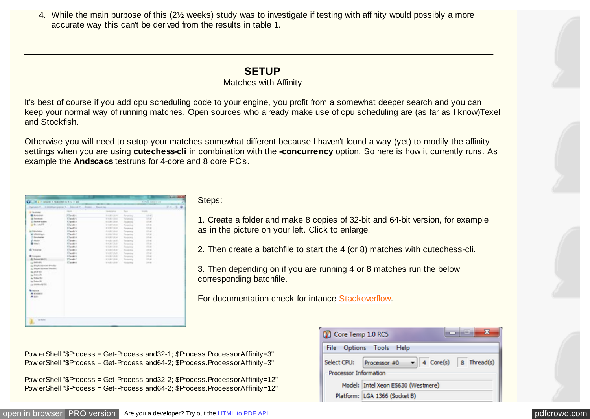4. While the main purpose of this (2½ weeks) study was to investigate if testing with affinity would possibly a more accurate way this can't be derived from the results in table 1.

\_\_\_\_\_\_\_\_\_\_\_\_\_\_\_\_\_\_\_\_\_\_\_\_\_\_\_\_\_\_\_\_\_\_\_\_\_\_\_\_\_\_\_\_\_\_\_\_\_\_\_\_\_\_\_\_\_\_\_\_\_\_\_\_\_\_\_\_\_\_\_\_\_\_\_\_\_\_\_\_\_\_\_\_\_\_\_\_\_\_\_\_\_\_\_\_\_\_\_\_\_\_

## **SETUP**

#### Matches with Affinity

It's best of course if you add cpu scheduling code to your engine, you profit from a somewhat deeper search and you can keep your normal way of running matches. Open sources who already make use of cpu scheduling are (as far as I know)Texel and Stockfish.

Otherwise you will need to setup your matches somewhat different because I haven't found a way (yet) to modify the affinity settings when you are using **cutechess-cli** in combination with the **-concurrency** option. So here is how it currently runs. As example the **Andscacs** testruns for 4-core and 8 core PC's.

| Chill of a + longitude financial list is a + and |                                     |                     |                 | ALTR   Databased |            |
|--------------------------------------------------|-------------------------------------|---------------------|-----------------|------------------|------------|
| Charleston, C.  In detailed constraint 1.        | construction of the<br><b>Brown</b> | <b>Name and</b>     |                 |                  | 0.4 . 2. 0 |
| St. Facebook                                     | <b>The Control</b>                  | <b>Business Co.</b> | San Co          | mem.             |            |
| <b><i>B August</i></b>                           | IFT available                       | 日本国内国会              | Topperey        | 10.41            |            |
| <b>A Rendered</b>                                | <b>IT audio C</b>                   | <b>FYRTEE</b>       | Tolerando       | <b>LEW</b>       |            |
| 11 Rewarkshire                                   | <b>WT godiniz</b>                   | <b>ALLINO MAY</b>   | Teaming         | 37.60            |            |
| of the column is                                 | El poddi 4                          | <b>ALLING BALL</b>  | <b>Transfer</b> | $1.0 - 40$       |            |
|                                                  | <b>El audob</b>                     | ■主席生馬部              | <b>Taxanes</b>  | 1.14             |            |
| L2 Renchaker                                     | 63 and/or                           | <b>PERFINE</b>      | Turantura       | $1 - 40$         |            |
| E rimitian                                       | <b>RT polici F</b>                  | E.L.Ref Direct      | To payment      | <b>And and</b>   |            |
| <b>Different winter</b>                          | IC would be                         | <b>SLADI ALM</b>    | <b>Reported</b> | 315 AB           |            |
| 2,9650                                           | (Change of                          | 日本語をお話し             | Transition      | 11.46            |            |
| <b>B</b> ton't                                   | <b>NT</b> and in the                | <b>RADEDAR</b>      | Transition      | <b>ET AL</b>     |            |
|                                                  | <b>RT product</b>                   | 413,007,009         | Transporter     | 13.40            |            |
| di haqiyo                                        | E1 entitled                         | NAMES               | Augusta         | 19.46            |            |
|                                                  | IC audio to                         | 新た成で活用              | Toronton        | <b>STEAR</b>     |            |
| <b>At Longuist</b>                               | <b>BT</b> and its                   | PERFIEL             | Turanova        | 104              |            |
| & American                                       | <b>RT godin C</b>                   | <b>VISITING</b>     | Transporting    | 10.46            |            |
| or infalls.                                      | <b>IC solest</b>                    | 11.431332           | Transferry      | $19-40$          |            |
| tic Tright Service New York                      |                                     |                     |                 |                  |            |
| as. Traum Restream Franchise                     |                                     |                     |                 |                  |            |
| as John Hin                                      |                                     |                     |                 |                  |            |
| to know the                                      |                                     |                     |                 |                  |            |
| A. Tills for                                     |                                     |                     |                 |                  |            |
| in Total Rd                                      |                                     |                     |                 |                  |            |
| car interested this                              |                                     |                     |                 |                  |            |
|                                                  |                                     |                     |                 |                  |            |
| Particular                                       |                                     |                     |                 |                  |            |
| <b>W Kindler of</b>                              |                                     |                     |                 |                  |            |
|                                                  |                                     |                     |                 |                  |            |
| $\sim$                                           |                                     |                     |                 |                  |            |
|                                                  |                                     |                     |                 |                  |            |
|                                                  |                                     |                     |                 |                  |            |
|                                                  |                                     |                     |                 |                  |            |
|                                                  |                                     |                     |                 |                  |            |
|                                                  |                                     |                     |                 |                  |            |
|                                                  |                                     |                     |                 |                  |            |

Steps:

1. Create a folder and make 8 copies of 32-bit and 64-bit version, for example as in the picture on your left. Click to enlarge.

2. Then create a batchfile to start the 4 (or 8) matches with cutechess-cli.

3. Then depending on if you are running 4 or 8 matches run the below corresponding batchfile.

For ducumentation check for intanc[e Stackoverflow.](https://stackoverflow.com/questions/19187241/change-affinity-of-process-with-windows-script)

Pow erShell "\$Process = Get-Process and32-1; \$Process.ProcessorAffinity=3" Pow erShell "\$Process = Get-Process and64-2; \$Process.ProcessorAffinity=3"

Pow erShell "\$Process = Get-Process and32-2; \$Process.ProcessorAffinity=12" Pow erShell "\$Process = Get-Process and64-2; \$Process.ProcessorAffinity=12"

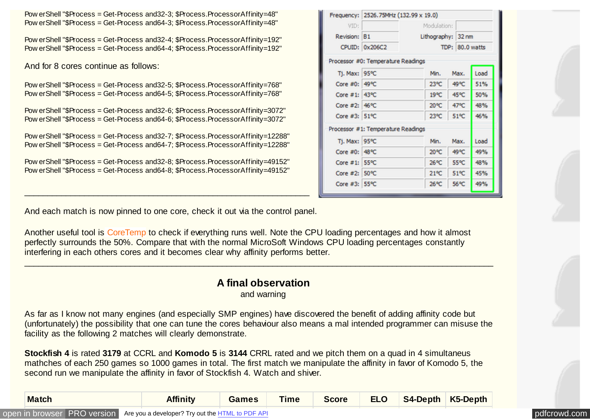Pow erShell "\$Process = Get-Process and32-3; \$Process.ProcessorAffinity=48" Pow erShell "\$Process = Get-Process and64-3; \$Process.ProcessorAffinity=48"

Pow erShell "\$Process = Get-Process and32-4; \$Process.ProcessorAffinity=192" Pow erShell "\$Process = Get-Process and64-4; \$Process.ProcessorAffinity=192"

And for 8 cores continue as follows:

Pow erShell "\$Process = Get-Process and32-5; \$Process.ProcessorAffinity=768" Pow erShell "\$Process = Get-Process and64-5; \$Process.ProcessorAffinity=768"

Pow erShell "\$Process = Get-Process and32-6; \$Process.ProcessorAffinity=3072" Pow erShell "\$Process = Get-Process and64-6; \$Process.ProcessorAffinity=3072"

Pow erShell "\$Process = Get-Process and32-7; \$Process.ProcessorAffinity=12288" Pow erShell "\$Process = Get-Process and64-7; \$Process.ProcessorAffinity=12288"

Pow erShell "\$Process = Get-Process and32-8; \$Process.ProcessorAffinity=49152" Pow erShell "\$Process = Get-Process and64-8; \$Process.ProcessorAffinity=49152"

|               | Frequency: 2526.75MHz (132.99 x 19.0) |                    |                 |      |  |
|---------------|---------------------------------------|--------------------|-----------------|------|--|
| VID:          |                                       | Modulation:        |                 |      |  |
| Revision: B1  |                                       | Lithography: 32 nm |                 |      |  |
|               | CPUID: 0x206C2                        |                    | TDP: 80.0 watts |      |  |
|               | Processor #0: Temperature Readings    |                    |                 |      |  |
| Tj. Max: 95°C |                                       | Min.               | Max.            | Load |  |
| Core #0: 49°C |                                       | 23°C               | 49°C            | 51%  |  |
| Core #1: 43°C |                                       | 19°C               | 45°C            | 50%  |  |
| Core #2: 46°C |                                       | 20°C               | 47°C            | 48%  |  |
| Core #3: 51°C |                                       | $23^{\circ}C$      | $51^{\circ}$ C  | 46%  |  |
|               | Processor #1: Temperature Readings    |                    |                 |      |  |
| Tj. Max: 95°C |                                       | Min.               | Max.            | Load |  |
| Core #0: 48°C |                                       | 20°C               | 49°C            | 49%  |  |
| Core #1: 55°C |                                       | 26°C               | 55°C            | 48%  |  |
| Core #2: 50°C |                                       | $21^{\circ}$ C     | 51°C            | 45%  |  |
| Core #3: 55°C |                                       | 26°C               | 56°C            | 49%  |  |

And each match is now pinned to one core, check it out via the control panel.

\_\_\_\_\_\_\_\_\_\_\_\_\_\_\_\_\_\_\_\_\_\_\_\_\_\_\_\_\_\_\_\_\_\_\_\_\_\_\_\_\_\_\_\_\_\_\_\_\_\_\_\_\_\_\_\_\_\_\_\_\_\_

Another useful tool is [CoreTemp](http://www.alcpu.com/CoreTemp/) to check if everything runs well. Note the CPU loading percentages and how it almost perfectly surrounds the 50%. Compare that with the normal MicroSoft Windows CPU loading percentages constantly interfering in each others cores and it becomes clear why affinity performs better.

# **A final observation**

\_\_\_\_\_\_\_\_\_\_\_\_\_\_\_\_\_\_\_\_\_\_\_\_\_\_\_\_\_\_\_\_\_\_\_\_\_\_\_\_\_\_\_\_\_\_\_\_\_\_\_\_\_\_\_\_\_\_\_\_\_\_\_\_\_\_\_\_\_\_\_\_\_\_\_\_\_\_\_\_\_\_\_\_\_\_\_\_\_\_\_\_\_\_\_\_\_\_\_\_\_\_

and warning

As far as I know not many engines (and especially SMP engines) have discovered the benefit of adding affinity code but (unfortunately) the possibility that one can tune the cores behaviour also means a mal intended programmer can misuse the facility as the following 2 matches will clearly demonstrate.

**Stockfish 4** is rated **3179** at CCRL and **Komodo 5** is **3144** CRRL rated and we pitch them on a quad in 4 simultaneus mathches of each 250 games so 1000 games in total. The first match we manipulate the affinity in favor of Komodo 5, the second run we manipulate the affinity in favor of Stockfish 4. Watch and shiver.

| <b>Match</b>                                                                 | <b>Affinity</b> | <b>Games</b> | <b>Time</b> | Score | <b>ELO</b> | $S4$ -Depth   K5-Depth |              |  |
|------------------------------------------------------------------------------|-----------------|--------------|-------------|-------|------------|------------------------|--------------|--|
| Open in browser PRO version Are you a developer? Try out the HTML to PDF API |                 |              |             |       |            |                        | pdfcrowd.com |  |